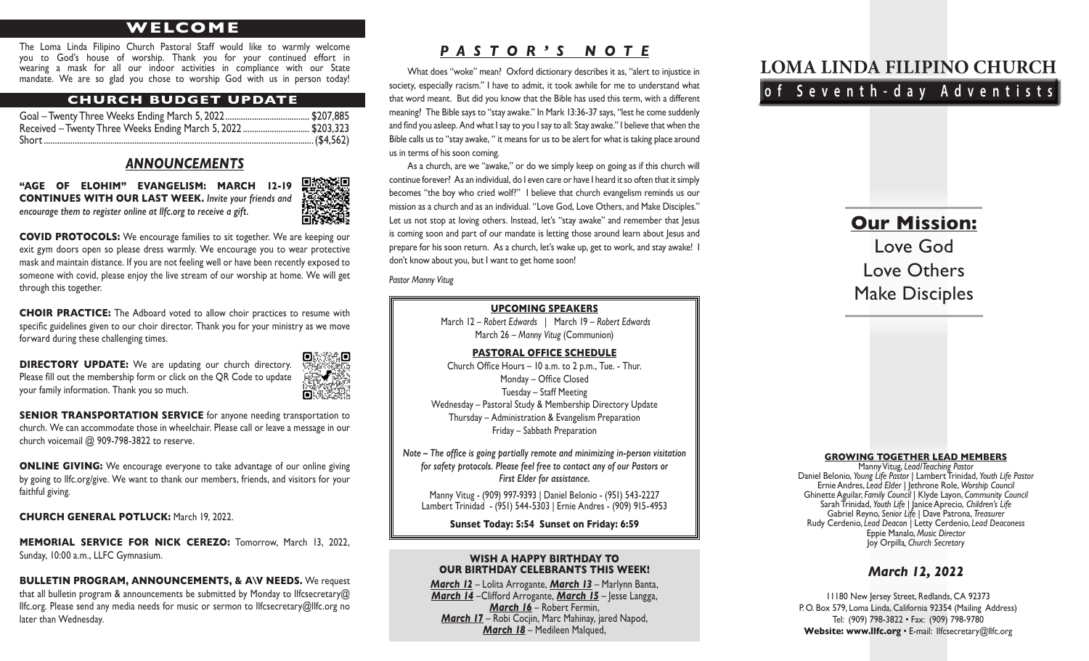# **WELCOME**

The Loma Linda Filipino Church Pastoral Staff would like to warmly welcome you to God's house of worship. Thank you for your continued effort in wearing a mask for all our indoor activities in compliance with our State mandate. We are so glad you chose to worship God with us in person today!

#### **CHURCH BUDGET UPDATE**

| Received – Twenty Three Weeks Ending March 5, 2022 \$203,323 |  |
|--------------------------------------------------------------|--|
|                                                              |  |

#### *ANNOUNCEMENTS*

**"AGE OF ELOHIM" EVANGELISM: MARCH 12-19 CONTINUES WITH OUR LAST WEEK.** *Invite your friends and encourage them to register online at llfc.org to receive a gift.* 



**COVID PROTOCOLS:** We encourage families to sit together. We are keeping our exit gym doors open so please dress warmly. We encourage you to wear protective mask and maintain distance. If you are not feeling well or have been recently exposed to someone with covid, please enjoy the live stream of our worship at home. We will get through this together.

**CHOIR PRACTICE:** The Adboard voted to allow choir practices to resume with specific guidelines given to our choir director. Thank you for your ministry as we move forward during these challenging times.

**DIRECTORY UPDATE:** We are updating our church directory. Please fill out the membership form or click on the QR Code to update your family information. Thank you so much.



**SENIOR TRANSPORTATION SERVICE** for anyone needing transportation to church. We can accommodate those in wheelchair. Please call or leave a message in our church voicemail @ 909-798-3822 to reserve.

**ONLINE GIVING:** We encourage everyone to take advantage of our online giving by going to llfc.org/give. We want to thank our members, friends, and visitors for your faithful giving.

**CHURCH GENERAL POTLUCK:** March 19, 2022.

**MEMORIAL SERVICE FOR NICK CEREZO:** Tomorrow, March 13, 2022, Sunday, 10:00 a.m., LLFC Gymnasium.

**BULLETIN PROGRAM, ANNOUNCEMENTS, & A\V NEEDS.** We request that all bulletin program & announcements be submitted by Monday to Ilfcsecretary@ llfc.org. Please send any media needs for music or sermon to llfcsecretary@llfc.org no later than Wednesday.

## *PASTOR'S NOTE*

What does "woke" mean? Oxford dictionary describes it as, "alert to injustice in society, especially racism." I have to admit, it took awhile for me to understand what that word meant. But did you know that the Bible has used this term, with a different meaning? The Bible says to "stay awake." In Mark 13:36-37 says, "lest he come suddenly and find you asleep. And what I say to you I say to all: Stay awake." I believe that when the Bible calls us to "stay awake, " it means for us to be alert for what is taking place around us in terms of his soon coming.

As a church, are we "awake," or do we simply keep on going as if this church will continue forever? As an individual, do I even care or have I heard it so often that it simply becomes "the boy who cried wolf?" I believe that church evangelism reminds us our mission as a church and as an individual. "Love God, Love Others, and Make Disciples." Let us not stop at loving others. Instead, let's "stay awake" and remember that Jesus is coming soon and part of our mandate is letting those around learn about lesus and prepare for his soon return. As a church, let's wake up, get to work, and stay awake! I don't know about you, but I want to get home soon!

*Pastor Manny Vitug*

#### **UPCOMING SPEAKERS**

March 12 – *Robert Edwards* | March 19 – *Robert Edwards* March 26 – *Manny Vitug* (Communion)

#### **PASTORAL OFFICE SCHEDULE**

Church Office Hours – 10 a.m. to 2 p.m., Tue. - Thur. Monday – Office Closed Tuesday – Staff Meeting Wednesday – Pastoral Study & Membership Directory Update Thursday – Administration & Evangelism Preparation Friday – Sabbath Preparation

*Note – The office is going partially remote and minimizing in-person visitation for safety protocols. Please feel free to contact any of our Pastors or First Elder for assistance.*

Manny Vitug - (909) 997-9393 | Daniel Belonio - (951) 543-2227 Lambert Trinidad - (951) 544-5303 | Ernie Andres - (909) 915-4953

#### **Sunset Today: 5:54 Sunset on Friday: 6:59**

#### **WISH A HAPPY BIRTHDAY TO OUR BIRTHDAY CELEBRANTS THIS WEEK!**

*March 12* – Lolita Arrogante, *March 13* – Marlynn Banta, *March 14* –Clifford Arrogante, *March 15* – Jesse Langga, *March 16* – Robert Fermin, *March 17* – Robi Cocjin, Marc Mahinay, jared Napod, *March 18* – Medileen Malqued,

# **LOMA LINDA FILIPINO CHURCH of Seventh-day Adventists**

**Our Mission:**

Love God

Love Others

Make Disciples

# **GROWING TOGETHER LEAD MEMBERS**

Manny Vitug, *Lead/Teaching Pastor*<br>Daniel Belonio, Young Life Pastor | Lambert Trinidad, Youth Life Pastor Daniel Belonio, *Young Life Pastor* | Lambert Trinidad, *Youth Life Pastor* Ernie Andres, *Lead Elder* | Jethrone Role, *Worship Council* Ghinette Aguilar, *Family Council* | Klyde Layon, *Community Council* Sarah Trinidad, *Youth Life |* Janice Aprecio, *Children's Life* Gabriel Reyno, *Senior Life* | Dave Patrona, *Treasurer* Rudy Cerdenio, *Lead Deacon |* Letty Cerdenio, *Lead Deaconess* Eppie Manalo, *Music Director* Joy Orpilla*, Church Secretary*

#### *March 12, 2022*

11180 New Jersey Street, Redlands, CA 92373 P. O. Box 579, Loma Linda, California 92354 (Mailing Address) Tel: (909) 798-3822 • Fax: (909) 798-9780 Website: www.llfc.org · E-mail: llfcsecretary@llfc.org